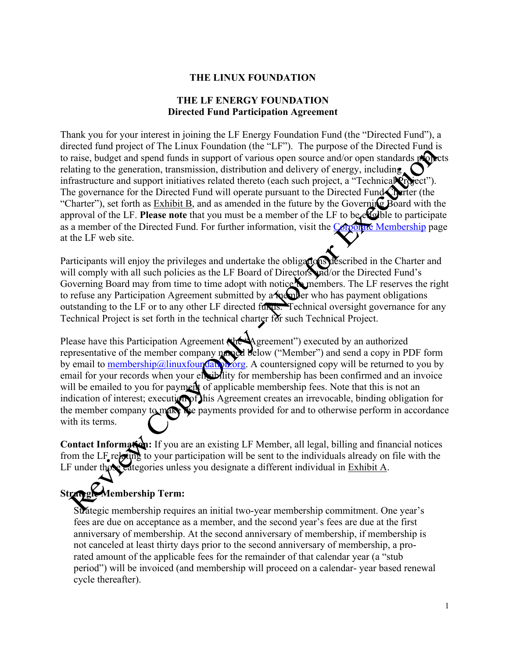#### **THE LINUX FOUNDATION**

#### **THE LF ENERGY FOUNDATION Directed Fund Participation Agreement**

Thank you for your interest in joining the LF Energy Foundation Fund (the "Directed Fund"), a directed fund project of The Linux Foundation (the "LF"). The purpose of the Directed Fund is to raise, budget and spend funds in support of various open source and/or open standards projects relating to the generation, transmission, distribution and delivery of energy, including infrastructure and support initiatives related thereto (each such project, a "Technical Project"). The governance for the Directed Fund will operate pursuant to the Directed Fund Charter (the "Charter"), set forth as Exhibit B, and as amended in the future by the Governing Board with the approval of the LF. Please note that you must be a member of the LF to be eligible to participate as a member of the Directed Fund. For further information, visit the Corporate Membership page at the LF web site.

Participants will enjoy the privileges and undertake the obligations described in the Charter and will comply with all such policies as the LF Board of Directors and/or the Directed Fund's Governing Board may from time to time adopt with notice to members. The LF reserves the right to refuse any Participation Agreement submitted by a member who has payment obligations outstanding to the LF or to any other LF directed funds. Technical oversight governance for any Technical Project is set forth in the technical charter for such Technical Project.

Please have this Participation Agreement (the Agreement") executed by an authorized representative of the member company named below ("Member") and send a copy in PDF form by email to  $\frac{\text{membership@linuxfourGal} \times \text{org.}}{\text{A countersigned copy will be returned to you by}}$ email for your records when your eligibility for membership has been confirmed and an invoice will be emailed to you for payment of applicable membership fees. Note that this is not an indication of interest; execution of this Agreement creates an irrevocable, binding obligation for the member company to make the payments provided for and to otherwise perform in accordance with its terms.

**Contact Information:** If you are an existing LF Member, all legal, billing and financial notices from the LF relating to your participation will be sent to the individuals already on file with the LF under those categories unless you designate a different individual in Exhibit A.

# **Strategic Membership Term:**

Strategic membership requires an initial two-year membership commitment. One year's fees are due on acceptance as a member, and the second year's fees are due at the first anniversary of membership. At the second anniversary of membership, if membership is not canceled at least thirty days prior to the second anniversary of membership, a prorated amount of the applicable fees for the remainder of that calendar year (a "stub period") will be invoiced (and membership will proceed on a calendar- year based renewal cycle thereafter).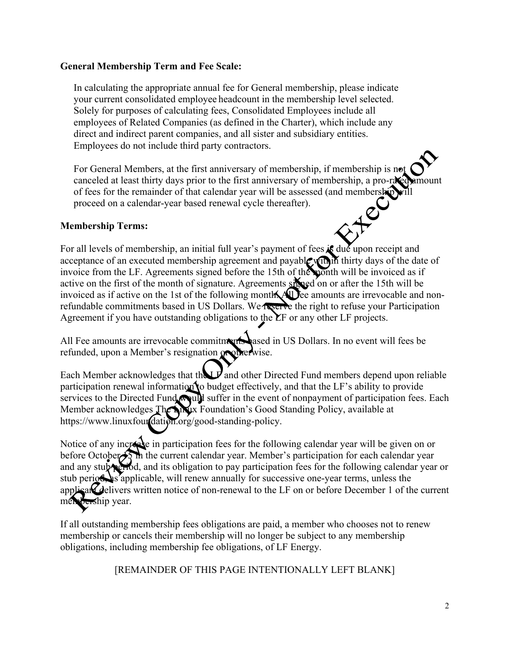#### **General Membership Term and Fee Scale:**

In calculating the appropriate annual fee for General membership, please indicate your current consolidated employee headcount in the membership level selected. Solely for purposes of calculating fees, Consolidated Employees include all employees of Related Companies (as defined in the Charter), which include any direct and indirect parent companies, and all sister and subsidiary entities. Employees do not include third party contractors.

For General Members, at the first anniversary of membership, if membership is not canceled at least thirty days prior to the first anniversary of membership, a pro-rated amount of fees for the remainder of that calendar year will be assessed (and membership proceed on a calendar-year based renewal cycle thereafter).<br> **COMPUTE:** proceed on a calendar-year based renewal cycle thereafter).

#### **Membership Terms:**

For all levels of membership, an initial full year's payment of fees is due upon receipt and acceptance of an executed membership agreement and payable within thirty days of the date of invoice from the LF. Agreements signed before the 15th of the month will be invoiced as if active on the first of the month of signature. Agreements signature on or after the 15th will be invoiced as if active on the 1st of the following month. All fee amounts are irrevocable and nonrefundable commitments based in US Dollars. We reserve the right to refuse your Participation Agreement if you have outstanding obligations to the  $\Sigma$ F or any other LF projects.

All Fee amounts are irrevocable commitments based in US Dollars. In no event will fees be refunded, upon a Member's resignation of

Each Member acknowledges that the  $L$  and other Directed Fund members depend upon reliable participation renewal information to budget effectively, and that the  $LF$ 's ability to provide services to the Directed Fund would suffer in the event of nonpayment of participation fees. Each Member acknowledges The Linux Foundation's Good Standing Policy, available at https://www.linuxfourdation.org/good-standing-policy.

Notice of any increase in participation fees for the following calendar year will be given on or before October 15 in the current calendar year. Member's participation for each calendar year and any stub period, and its obligation to pay participation fees for the following calendar year or stub period, as applicable, will renew annually for successive one-year terms, unless the applicant delivers written notice of non-renewal to the LF on or before December 1 of the current membership year.

If all outstanding membership fees obligations are paid, a member who chooses not to renew membership or cancels their membership will no longer be subject to any membership obligations, including membership fee obligations, of LF Energy.

[REMAINDER OF THIS PAGE INTENTIONALLY LEFT BLANK]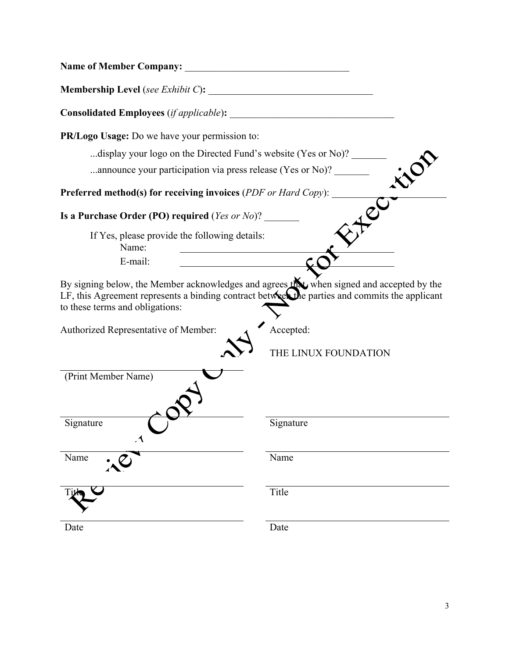| <b>Name of Member Company:</b>                                                                                                                                                                                                 | <u> 1980 - Johann Barbara, martxa alemaniar a</u> |
|--------------------------------------------------------------------------------------------------------------------------------------------------------------------------------------------------------------------------------|---------------------------------------------------|
|                                                                                                                                                                                                                                |                                                   |
|                                                                                                                                                                                                                                |                                                   |
| PR/Logo Usage: Do we have your permission to:                                                                                                                                                                                  |                                                   |
| display your logo on the Directed Fund's website (Yes or No)?                                                                                                                                                                  |                                                   |
| announce your participation via press release (Yes or No)?                                                                                                                                                                     |                                                   |
| Preferred method(s) for receiving invoices (PDF or Hard Copy):                                                                                                                                                                 |                                                   |
| Is a Purchase Order (PO) required ( <i>Yes or No</i> )?                                                                                                                                                                        |                                                   |
| If Yes, please provide the following details:<br>Name:                                                                                                                                                                         |                                                   |
| E-mail:                                                                                                                                                                                                                        |                                                   |
| By signing below, the Member acknowledges and agrees that when signed and accepted by the<br>LF, this Agreement represents a binding contract between the parties and commits the applicant<br>to these terms and obligations: |                                                   |
| Authorized Representative of Member:                                                                                                                                                                                           | Accepted:                                         |
|                                                                                                                                                                                                                                | THE LINUX FOUNDATION                              |
| (Print Member Name)                                                                                                                                                                                                            |                                                   |
| Signature<br>$\lambda$                                                                                                                                                                                                         | Signature                                         |
| Name                                                                                                                                                                                                                           | Name                                              |
|                                                                                                                                                                                                                                | Title                                             |
| Date                                                                                                                                                                                                                           | Date                                              |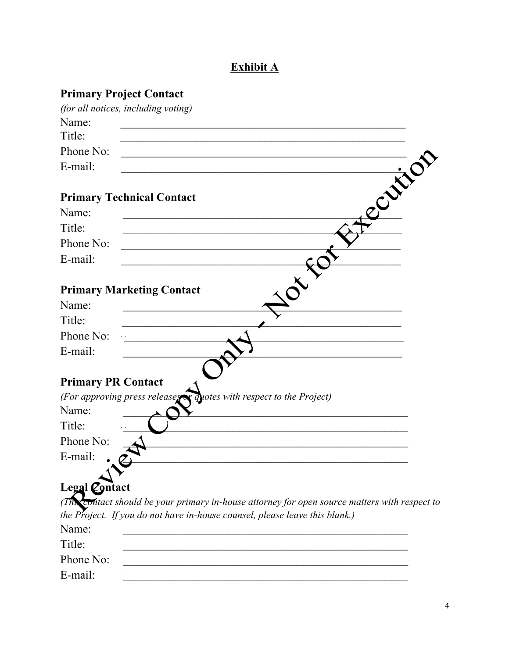# **Exhibit A**

| <b>Primary Project Contact</b>                                                                             |        |
|------------------------------------------------------------------------------------------------------------|--------|
| (for all notices, including voting)                                                                        |        |
| Name:                                                                                                      |        |
| Title:                                                                                                     |        |
| Phone No:                                                                                                  |        |
| E-mail:                                                                                                    |        |
|                                                                                                            | Centre |
| <b>Primary Technical Contact</b>                                                                           |        |
| Name:                                                                                                      |        |
| Title:                                                                                                     |        |
| Phone No:                                                                                                  |        |
| E-mail:                                                                                                    |        |
|                                                                                                            |        |
| <b>Primary Marketing Contact</b>                                                                           |        |
| Name:                                                                                                      |        |
| Title:                                                                                                     |        |
| Phone No:                                                                                                  |        |
| E-mail:                                                                                                    |        |
|                                                                                                            |        |
| <b>Primary PR Contact</b>                                                                                  |        |
| (For approving press releases or quotes with respect to the Project)                                       |        |
| Name:                                                                                                      |        |
| Title:                                                                                                     |        |
| Phone No:                                                                                                  |        |
| E-mail:                                                                                                    |        |
| Legal <i>Contact</i>                                                                                       |        |
| $(Th$ <sub>co</sub> ntact should be your primary in-house attorney for open source matters with respect to |        |
| the Project. If you do not have in-house counsel, please leave this blank.)                                |        |
| Name:                                                                                                      |        |
| Title:                                                                                                     |        |
| Phone No:                                                                                                  |        |
| E-mail:                                                                                                    |        |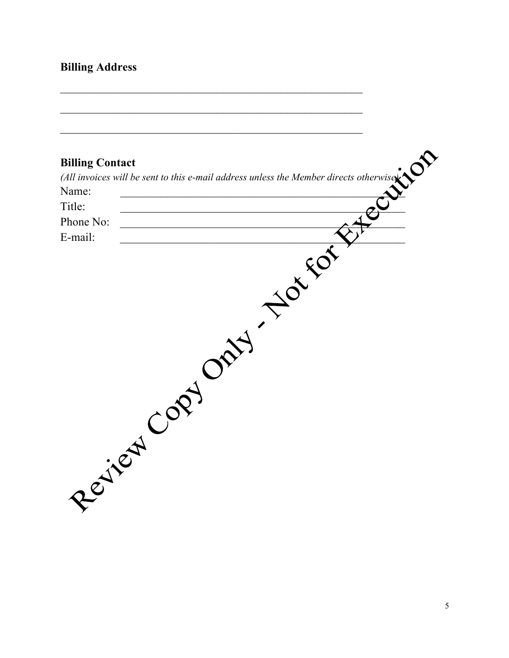# **Billing Address**

|           | (All invoices will be sent to this e-mail address unless the Member directs otherwise $\sum_{n=1}^{\infty}$ |  |
|-----------|-------------------------------------------------------------------------------------------------------------|--|
|           |                                                                                                             |  |
|           |                                                                                                             |  |
| Phone No: |                                                                                                             |  |
| E-mail:   |                                                                                                             |  |
|           | H TONEON<br>YOP                                                                                             |  |
|           | Resited Col                                                                                                 |  |

 $\mathcal{L}_\text{max}$  , and the contract of the contract of the contract of the contract of the contract of the contract of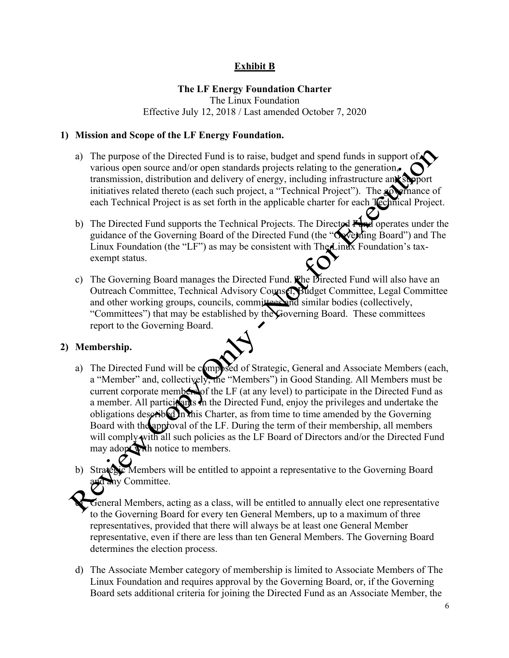# **Exhibit B**

# **The LF Energy Foundation Charter**

The Linux Foundation Effective July 12, 2018 / Last amended October 7, 2020

#### **1) Mission and Scope of the LF Energy Foundation.**

- a) The purpose of the Directed Fund is to raise, budget and spend funds in support of  $\triangle$ various open source and/or open standards projects relating to the generation, transmission, distribution and delivery of energy, including infrastructure and support initiatives related thereto (each such project, a "Technical Project"). The **governance** of each Technical Project is as set forth in the applicable charter for each **Technical Project**.
- b) The Directed Fund supports the Technical Projects. The Directed  $\vec{F}$ guidance of the Governing Board of the Directed Fund (the "Governing Board") and The Linux Foundation (the "LF") as may be consistent with The Linux Foundation's taxexempt status.
- c) The Governing Board manages the Directed Fund. The Directed Fund will also have an Outreach Committee, Technical Advisory Counsel, Budget Committee, Legal Committee and other working groups, councils, committees and similar bodies (collectively, "Committees") that may be established by the Governing Board. These committees report to the Governing Board.

# **2) Membership.**

- a) The Directed Fund will be composed of Strategic, General and Associate Members (each, a "Member" and, collectively, the "Members") in Good Standing. All Members must be current corporate members of the LF (at any level) to participate in the Directed Fund as a member. All participants in the Directed Fund, enjoy the privileges and undertake the obligations described in this Charter, as from time to time amended by the Governing Board with the approval of the LF. During the term of their membership, all members will comply with all such policies as the LF Board of Directors and/or the Directed Fund may adopt with notice to members.
- b) Strategic Members will be entitled to appoint a representative to the Governing Board any Committee.

General Members, acting as a class, will be entitled to annually elect one representative to the Governing Board for every ten General Members, up to a maximum of three representatives, provided that there will always be at least one General Member representative, even if there are less than ten General Members. The Governing Board determines the election process.

d) The Associate Member category of membership is limited to Associate Members of The Linux Foundation and requires approval by the Governing Board, or, if the Governing Board sets additional criteria for joining the Directed Fund as an Associate Member, the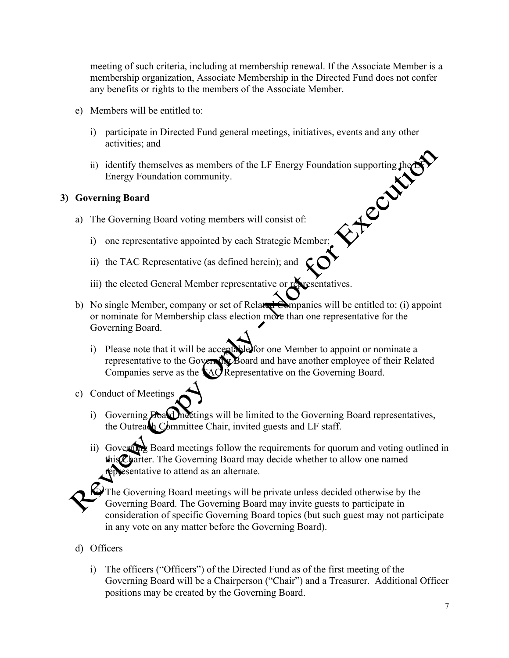meeting of such criteria, including at membership renewal. If the Associate Member is a membership organization, Associate Membership in the Directed Fund does not confer any benefits or rights to the members of the Associate Member.

- e) Members will be entitled to:
	- i) participate in Directed Fund general meetings, initiatives, events and any other activities; and
	- ii) identify themselves as members of the LF Energy Foundation supporting the  $\mathbb{N}$ Energy Foundation community.

## **3) Governing Board**

- a) The Governing Board voting members will consist of:
	- i) one representative appointed by each Strategic Member;
	- ii) the TAC Representative (as defined herein); and
	- iii) the elected General Member representative or representatives.
- b) No single Member, company or set of Related Companies will be entitled to: (i) appoint or nominate for Membership class election more than one representative for the Governing Board.
	- i) Please note that it will be acceptable for one Member to appoint or nominate a representative to the Governing Board and have another employee of their Related Companies serve as the  $\triangle$ AC Representative on the Governing Board.
- c) Conduct of Meetings
	- i) Governing Board meetings will be limited to the Governing Board representatives, the Outreach Committee Chair, invited guests and LF staff.
	- ii) Government Board meetings follow the requirements for quorum and voting outlined in this Charter. The Governing Board may decide whether to allow one named representative to attend as an alternate.

 $\mathbf{\hat{\omega}}$ The Governing Board meetings will be private unless decided otherwise by the Governing Board. The Governing Board may invite guests to participate in consideration of specific Governing Board topics (but such guest may not participate in any vote on any matter before the Governing Board).

- d) Officers
	- i) The officers ("Officers") of the Directed Fund as of the first meeting of the Governing Board will be a Chairperson ("Chair") and a Treasurer. Additional Officer positions may be created by the Governing Board.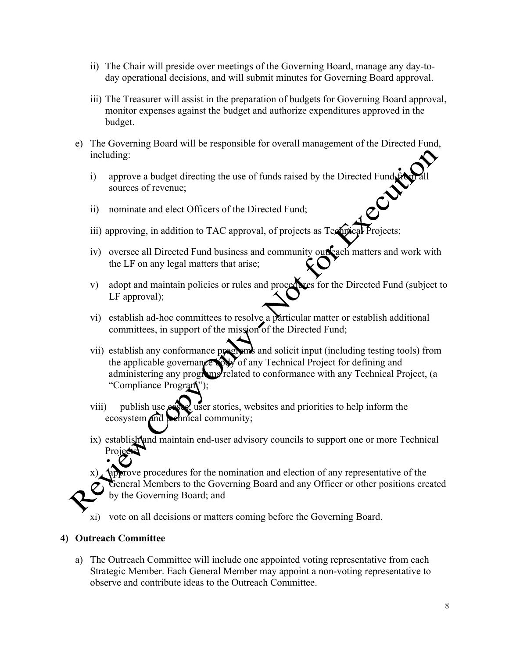- ii) The Chair will preside over meetings of the Governing Board, manage any day-today operational decisions, and will submit minutes for Governing Board approval.
- iii) The Treasurer will assist in the preparation of budgets for Governing Board approval, monitor expenses against the budget and authorize expenditures approved in the budget.
- e) The Governing Board will be responsible for overall management of the Directed Fund, including:
	- i) approve a budget directing the use of funds raised by the Directed Fund  $\mathbf{f}$ sources of revenue;
	- ii) nominate and elect Officers of the Directed Fund;
	- iii) approving, in addition to TAC approval, of projects as Technical
	- iv) oversee all Directed Fund business and community outreach matters and work with the LF on any legal matters that arise;
	- v) adopt and maintain policies or rules and procedures for the Directed Fund (subject to LF approval);
	- vi) establish ad-hoc committees to resolve a particular matter or establish additional committees, in support of the mission of the Directed Fund;
	- vii) establish any conformance programs and solicit input (including testing tools) from the applicable governance by of any Technical Project for defining and administering any programs related to conformance with any Technical Project, (a "Compliance Program");
	- viii) publish use  $\cos$ , user stories, websites and priorities to help inform the ecosystem and technical community;
	- ix) establish and maintain end-user advisory councils to support one or more Technical Projects

approve procedures for the nomination and election of any representative of the General Members to the Governing Board and any Officer or other positions created by the Governing Board; and

xi) vote on all decisions or matters coming before the Governing Board.

#### **4) Outreach Committee**

a) The Outreach Committee will include one appointed voting representative from each Strategic Member. Each General Member may appoint a non-voting representative to observe and contribute ideas to the Outreach Committee.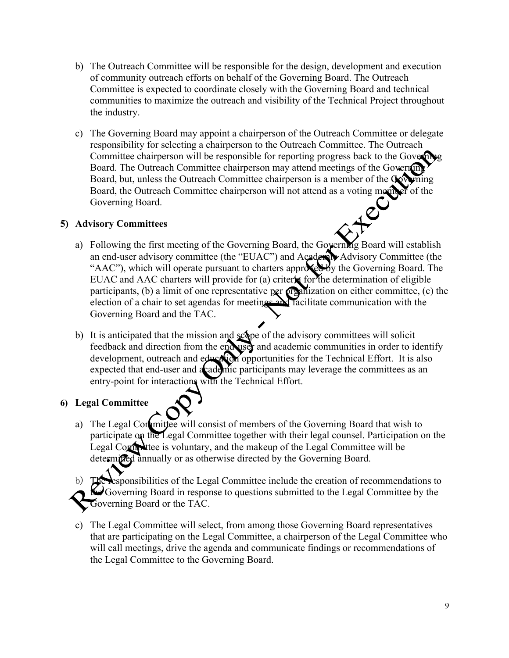- b) The Outreach Committee will be responsible for the design, development and execution of community outreach efforts on behalf of the Governing Board. The Outreach Committee is expected to coordinate closely with the Governing Board and technical communities to maximize the outreach and visibility of the Technical Project throughout the industry.
- c) The Governing Board may appoint a chairperson of the Outreach Committee or delegate responsibility for selecting a chairperson to the Outreach Committee. The Outreach Committee chairperson will be responsible for reporting progress back to the Governing Board. The Outreach Committee chairperson may attend meetings of the Governing Board, but, unless the Outreach Committee chairperson is a member of the Governing Board, the Outreach Committee chairperson will not attend as a voting member of the Governing Board.<br>
visory Committees Governing Board.

## **5) Advisory Committees**

- a) Following the first meeting of the Governing Board, the Governing Board will establish an end-user advisory committee (the "EUAC") and Academic Advisory Committee (the "AAC"), which will operate pursuant to charters approxed by the Governing Board. The EUAC and AAC charters will provide for (a) criteric for the determination of eligible participants, (b) a limit of one representative per  $\alpha$  panization on either committee, (c) the election of a chair to set agendas for meetings and facilitate communication with the Governing Board and the TAC.
- b) It is anticipated that the mission and scope of the advisory committees will solicit feedback and direction from the end user and academic communities in order to identify development, outreach and education opportunities for the Technical Effort. It is also expected that end-user and a cademic participants may leverage the committees as an entry-point for interactions with the Technical Effort.

# **6) Legal Committee**

a) The Legal Committee will consist of members of the Governing Board that wish to participate on the Legal Committee together with their legal counsel. Participation on the Legal Committee is voluntary, and the makeup of the Legal Committee will be determined annually or as otherwise directed by the Governing Board.

esponsibilities of the Legal Committee include the creation of recommendations to  $\Theta$  Governing Board in response to questions submitted to the Legal Committee by the Governing Board or the TAC.

c) The Legal Committee will select, from among those Governing Board representatives that are participating on the Legal Committee, a chairperson of the Legal Committee who will call meetings, drive the agenda and communicate findings or recommendations of the Legal Committee to the Governing Board.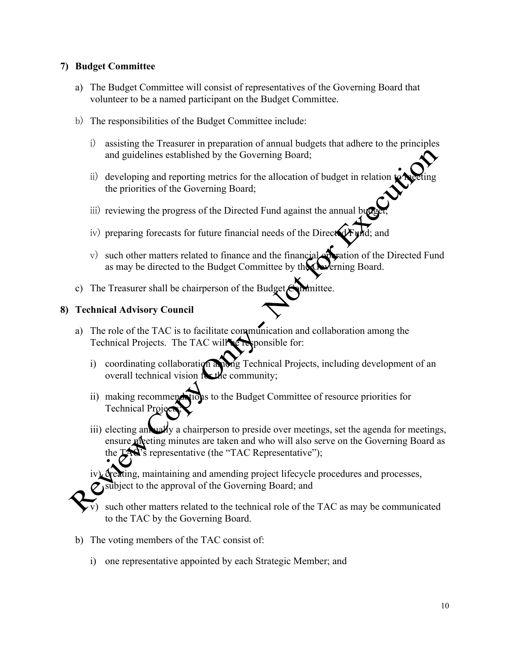#### **7) Budget Committee**

- a) The Budget Committee will consist of representatives of the Governing Board that volunteer to be a named participant on the Budget Committee.
- b) The responsibilities of the Budget Committee include:
	- i) assisting the Treasurer in preparation of annual budgets that adhere to the principles and guidelines established by the Governing Board;
	- ii) developing and reporting metrics for the allocation of budget in relation the priorities of the Governing Board;
	- iii) reviewing the progress of the Directed Fund against the annual budget
	- iv) preparing forecasts for future financial needs of the Direct  $dF$  while; and
	- v) such other matters related to finance and the financial operation of the Directed Fund as may be directed to the Budget Committee by the Governing Board.
- c) The Treasurer shall be chairperson of the Budget  $\epsilon$  mittee.

#### **8) Technical Advisory Council**

- a) The role of the TAC is to facilitate communication and collaboration among the Technical Projects. The TAC will be responsible for:
	- i) coordinating collaboration anong Technical Projects, including development of an overall technical vision for the community;
	- ii) making recommendations to the Budget Committee of resource priorities for Technical Pro
	- iii) electing an uzly a chairperson to preside over meetings, set the agenda for meetings, ensure meeting minutes are taken and who will also serve on the Governing Board as the TAC's representative (the "TAC Representative");

dreating, maintaining and amending project lifecycle procedures and processes, subject to the approval of the Governing Board; and

- such other matters related to the technical role of the TAC as may be communicated to the TAC by the Governing Board.
- b) The voting members of the TAC consist of:
	- i) one representative appointed by each Strategic Member; and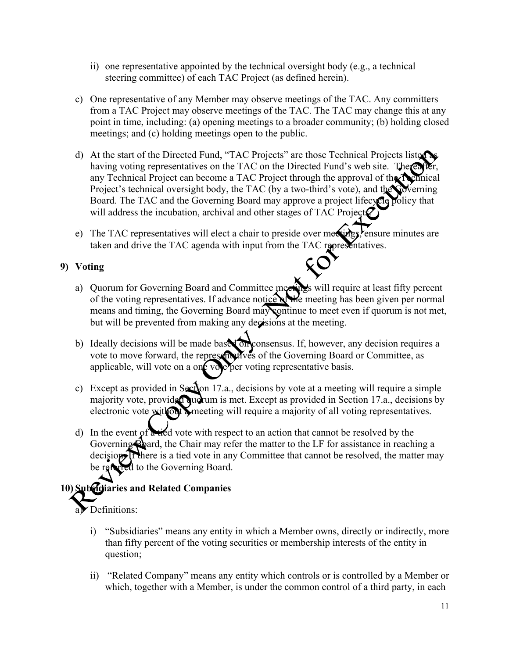- ii) one representative appointed by the technical oversight body (e.g., a technical steering committee) of each TAC Project (as defined herein).
- c) One representative of any Member may observe meetings of the TAC. Any committers from a TAC Project may observe meetings of the TAC. The TAC may change this at any point in time, including: (a) opening meetings to a broader community; (b) holding closed meetings; and (c) holding meetings open to the public.
- d) At the start of the Directed Fund, "TAC Projects" are those Technical Projects listed having voting representatives on the TAC on the Directed Fund's web site. Therea any Technical Project can become a TAC Project through the approval of the Technical Project's technical oversight body, the TAC (by a two-third's vote), and the Governing Board. The TAC and the Governing Board may approve a project lifecycle policy that will address the incubation, archival and other stages of TAC Project $\mathcal Q$
- e) The TAC representatives will elect a chair to preside over metrings, ensure minutes are taken and drive the TAC agenda with input from the TAC representatives.

# **9) Voting**

- a) Quorum for Governing Board and Committee meetings will require at least fifty percent of the voting representatives. If advance notice of the meeting has been given per normal means and timing, the Governing Board may continue to meet even if quorum is not met, but will be prevented from making any decisions at the meeting.
- b) Ideally decisions will be made based on consensus. If, however, any decision requires a vote to move forward, the representatives of the Governing Board or Committee, as applicable, will vote on a one vole per voting representative basis.
- c) Except as provided in Section 17.a., decisions by vote at a meeting will require a simple majority vote, provided quorum is met. Except as provided in Section 17.a., decisions by electronic vote with out a meeting will require a majority of all voting representatives.
- d) In the event of  $\alpha$  tied vote with respect to an action that cannot be resolved by the Governing Board, the Chair may refer the matter to the LF for assistance in reaching a decision. If there is a tied vote in any Committee that cannot be resolved, the matter may be referred to the Governing Board.

# **10) Subsidiaries and Related Companies**

- a) Definitions:
	- i) "Subsidiaries" means any entity in which a Member owns, directly or indirectly, more than fifty percent of the voting securities or membership interests of the entity in question;
	- ii) "Related Company" means any entity which controls or is controlled by a Member or which, together with a Member, is under the common control of a third party, in each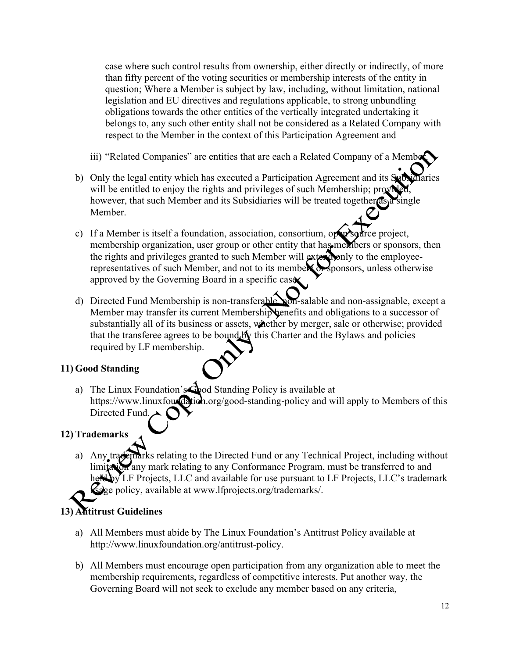case where such control results from ownership, either directly or indirectly, of more than fifty percent of the voting securities or membership interests of the entity in question; Where a Member is subject by law, including, without limitation, national legislation and EU directives and regulations applicable, to strong unbundling obligations towards the other entities of the vertically integrated undertaking it belongs to, any such other entity shall not be considered as a Related Company with respect to the Member in the context of this Participation Agreement and

- iii) "Related Companies" are entities that are each a Related Company of a Member.
- b) Only the legal entity which has executed a Participation Agreement and its Subsidiaries will be entitled to enjoy the rights and privileges of such Membership; provided, however, that such Member and its Subsidiaries will be treated together as a single Member.
- c) If a Member is itself a foundation, association, consortium, open source project, membership organization, user group or other entity that has members or sponsors, then the rights and privileges granted to such Member will extend only to the employeerepresentatives of such Member, and not to its members or sponsors, unless otherwise approved by the Governing Board in a specific case.
- d) Directed Fund Membership is non-transferable hon-salable and non-assignable, except a Member may transfer its current Membership benefits and obligations to a successor of substantially all of its business or assets, whether by merger, sale or otherwise; provided that the transferee agrees to be bound by this Charter and the Bylaws and policies required by LF membership.

# **11) Good Standing**

a) The Linux Foundation's Good Standing Policy is available at https://www.linuxfouxdation.org/good-standing-policy and will apply to Members of this Directed Fund.

# **12) Trademarks**

a) Any trademarks relating to the Directed Fund or any Technical Project, including without limitation any mark relating to any Conformance Program, must be transferred to and held by LF Projects, LLC and available for use pursuant to LF Projects, LLC's trademark selge policy, available at www.lfprojects.org/trademarks/.

# **13) Antitrust Guidelines**

- a) All Members must abide by The Linux Foundation's Antitrust Policy available at http://www.linuxfoundation.org/antitrust-policy.
- b) All Members must encourage open participation from any organization able to meet the membership requirements, regardless of competitive interests. Put another way, the Governing Board will not seek to exclude any member based on any criteria,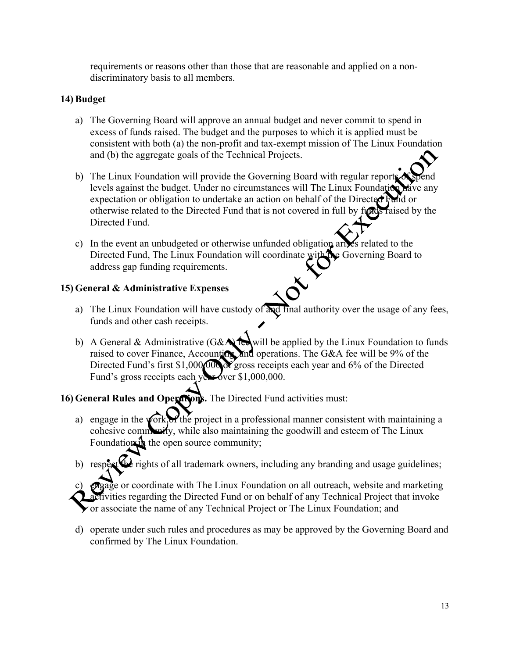requirements or reasons other than those that are reasonable and applied on a nondiscriminatory basis to all members.

# **14) Budget**

- a) The Governing Board will approve an annual budget and never commit to spend in excess of funds raised. The budget and the purposes to which it is applied must be consistent with both (a) the non-profit and tax-exempt mission of The Linux Foundation and (b) the aggregate goals of the Technical Projects.
- b) The Linux Foundation will provide the Governing Board with regular reports levels against the budget. Under no circumstances will The Linux Foundation have any expectation or obligation to undertake an action on behalf of the Directed Fund or otherwise related to the Directed Fund that is not covered in full by funds raised by the Directed Fund.
- c) In the event an unbudgeted or otherwise unfunded obligation arises related to the Directed Fund, The Linux Foundation will coordinate with the Governing Board to address gap funding requirements.

# **15) General & Administrative Expenses**

- a) The Linux Foundation will have custody of  $\frac{\partial u}{\partial x}$  final authority over the usage of any fees, funds and other cash receipts.
- b) A General & Administrative (G&A) feed will be applied by the Linux Foundation to funds raised to cover Finance, Accounting, and operations. The G&A fee will be 9% of the Directed Fund's first \$1,000,000  $\chi$  gross receipts each year and 6% of the Directed Fund's gross receipts each year over \$1,000,000.

# **16) General Rules and Operations.** The Directed Fund activities must:

- a) engage in the work of the project in a professional manner consistent with maintaining a cohesive community, while also maintaining the goodwill and esteem of The Linux Foundation in the open source community;
- b) respect  $\mathbf{G}$  rights of all trademark owners, including any branding and usage guidelines;

*el* gage or coordinate with The Linux Foundation on all outreach, website and marketing Fivities regarding the Directed Fund or on behalf of any Technical Project that invoke or associate the name of any Technical Project or The Linux Foundation; and

d) operate under such rules and procedures as may be approved by the Governing Board and confirmed by The Linux Foundation.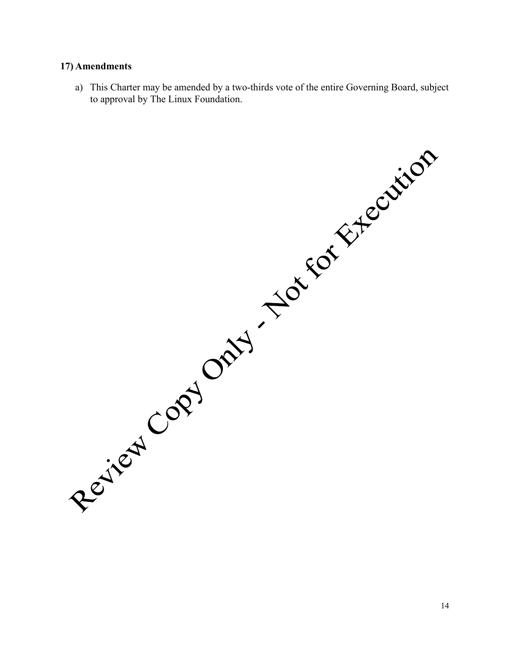#### **17) Amendments**

a) This Charter may be amended by a two-thirds vote of the entire Governing Board, subject

Registered Copy Only - The Eor Extension